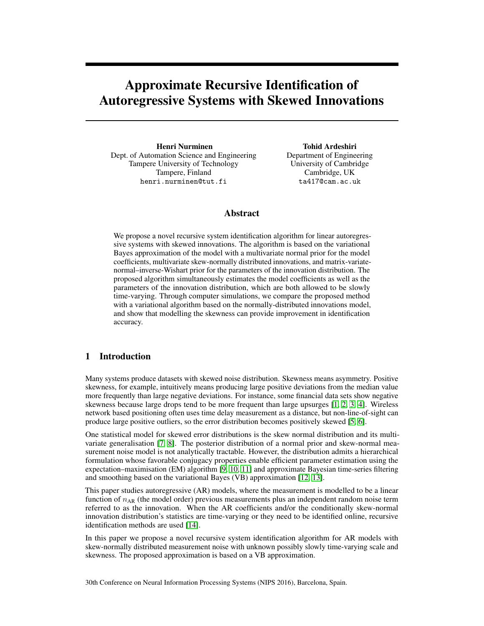## Approximate Recursive Identification of Autoregressive Systems with Skewed Innovations

Henri Nurminen Dept. of Automation Science and Engineering Tampere University of Technology Tampere, Finland henri.nurminen@tut.fi

Tohid Ardeshiri Department of Engineering University of Cambridge Cambridge, UK ta417@cam.ac.uk

## Abstract

We propose a novel recursive system identification algorithm for linear autoregressive systems with skewed innovations. The algorithm is based on the variational Bayes approximation of the model with a multivariate normal prior for the model coefficients, multivariate skew-normally distributed innovations, and matrix-variatenormal–inverse-Wishart prior for the parameters of the innovation distribution. The proposed algorithm simultaneously estimates the model coefficients as well as the parameters of the innovation distribution, which are both allowed to be slowly time-varying. Through computer simulations, we compare the proposed method with a variational algorithm based on the normally-distributed innovations model, and show that modelling the skewness can provide improvement in identification accuracy.

#### 1 Introduction

Many systems produce datasets with skewed noise distribution. Skewness means asymmetry. Positive skewness, for example, intuitively means producing large positive deviations from the median value more frequently than large negative deviations. For instance, some financial data sets show negative skewness because large drops tend to be more frequent than large upsurges [\[1,](#page-4-0) [2,](#page-4-1) [3,](#page-4-2) [4\]](#page-4-3). Wireless network based positioning often uses time delay measurement as a distance, but non-line-of-sight can produce large positive outliers, so the error distribution becomes positively skewed [\[5,](#page-4-4) [6\]](#page-4-5).

One statistical model for skewed error distributions is the skew normal distribution and its multivariate generalisation [\[7,](#page-4-6) [8\]](#page-4-7). The posterior distribution of a normal prior and skew-normal measurement noise model is not analytically tractable. However, the distribution admits a hierarchical formulation whose favorable conjugacy properties enable efficient parameter estimation using the expectation–maximisation (EM) algorithm [\[9,](#page-4-8) [10,](#page-4-9) [11\]](#page-4-10) and approximate Bayesian time-series filtering and smoothing based on the variational Bayes (VB) approximation [\[12,](#page-4-11) [13\]](#page-4-12).

This paper studies autoregressive (AR) models, where the measurement is modelled to be a linear function of  $n_{AR}$  (the model order) previous measurements plus an independent random noise term referred to as the innovation. When the AR coefficients and/or the conditionally skew-normal innovation distribution's statistics are time-varying or they need to be identified online, recursive identification methods are used [\[14\]](#page-4-13).

In this paper we propose a novel recursive system identification algorithm for AR models with skew-normally distributed measurement noise with unknown possibly slowly time-varying scale and skewness. The proposed approximation is based on a VB approximation.

30th Conference on Neural Information Processing Systems (NIPS 2016), Barcelona, Spain.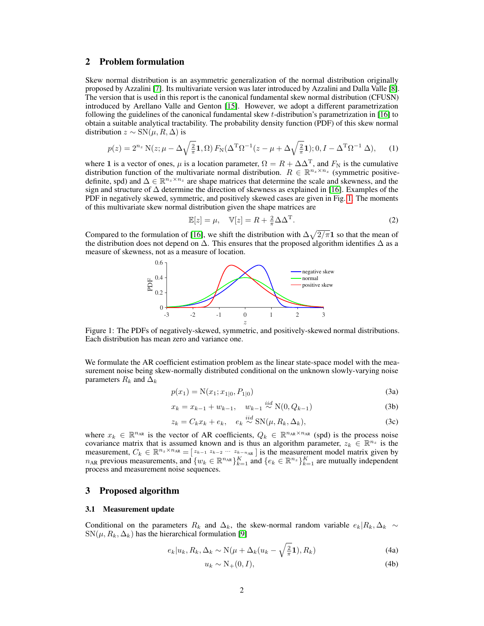#### 2 Problem formulation

Skew normal distribution is an asymmetric generalization of the normal distribution originally proposed by Azzalini [\[7\]](#page-4-6). Its multivariate version was later introduced by Azzalini and Dalla Valle [\[8\]](#page-4-7). The version that is used in this report is the canonical fundamental skew normal distribution (CFUSN) introduced by Arellano Valle and Genton [\[15\]](#page-4-14). However, we adopt a different parametrization following the guidelines of the canonical fundamental skew t-distribution's parametrization in [\[16\]](#page-4-15) to obtain a suitable analytical tractability. The probability density function (PDF) of this skew normal distribution  $z \sim SN(\mu, R, \Delta)$  is

$$
p(z) = 2^{n_z} \, \mathcal{N}(z; \mu - \Delta \sqrt{\frac{2}{\pi}} \mathbf{1}, \Omega) \, F_{\mathcal{N}}(\Delta^{\mathcal{T}} \Omega^{-1}(z - \mu + \Delta \sqrt{\frac{2}{\pi}} \mathbf{1}); 0, I - \Delta^{\mathcal{T}} \Omega^{-1} \, \Delta), \tag{1}
$$

where 1 is a vector of ones,  $\mu$  is a location parameter,  $\Omega = R + \Delta \Delta^{T}$ , and  $F_{N}$  is the cumulative distribution function of the multivariate normal distribution.  $R \in \mathbb{R}^{n_z \times n_z}$  (symmetric positivedefinite, spd) and  $\Delta \in \mathbb{R}^{n_z \times n_z}$  are shape matrices that determine the scale and skewness, and the sign and structure of ∆ determine the direction of skewness as explained in [\[16\]](#page-4-15). Examples of the PDF in negatively skewed, symmetric, and positively skewed cases are given in Fig. [1.](#page-1-0) The moments of this multivariate skew normal distribution given the shape matrices are

<span id="page-1-4"></span>
$$
\mathbb{E}[z] = \mu, \quad \mathbb{V}[z] = R + \frac{2}{\pi} \Delta \Delta^{\mathrm{T}}.
$$
 (2)

<span id="page-1-0"></span>Compared to the formulation of [\[16\]](#page-4-15), we shift the distribution with  $\Delta \sqrt{2/\pi} \mathbf{1}$  so that the mean of the distribution does not depend on  $\Delta$ . This ensures that the proposed algorithm identifies  $\Delta$  as a measure of skewness, not as a measure of location.



Figure 1: The PDFs of negatively-skewed, symmetric, and positively-skewed normal distributions. Each distribution has mean zero and variance one.

We formulate the AR coefficient estimation problem as the linear state-space model with the measurement noise being skew-normally distributed conditional on the unknown slowly-varying noise parameters  $R_k$  and  $\Delta_k$ 

<span id="page-1-1"></span>
$$
p(x_1) = N(x_1; x_{1|0}, P_{1|0})
$$
\n(3a)

$$
x_k = x_{k-1} + w_{k-1}, \quad w_{k-1} \stackrel{iid}{\sim} \mathcal{N}(0, Q_{k-1})
$$
 (3b)

$$
z_k = C_k x_k + e_k, \quad e_k \stackrel{iid}{\sim} \text{SN}(\mu, R_k, \Delta_k), \tag{3c}
$$

where  $x_k \in \mathbb{R}^{n_{AR}}$  is the vector of AR coefficients,  $Q_k \in \mathbb{R}^{n_{AR}\times n_{AR}}$  (spd) is the process noise covariance matrix that is assumed known and is thus an algorithm parameter,  $z_k \in \mathbb{R}^{n_z}$  is the measurement,  $C_k \in \mathbb{R}^{n_z \times n_{AR}} = \begin{bmatrix} z_{k-1} & z_{k-2} & \cdots & z_{k-n_{AR}} \end{bmatrix}$  is the measurement model matrix given by  $n_{AR}$  previous measurements, and  $\{w_k \in \mathbb{R}^{n_{AR}}\}_{k=1}^K$  and  $\{e_k \in \mathbb{R}^{n_z}\}_{k=1}^K$  are mutually independent process and measurement noise sequences.

#### 3 Proposed algorithm

#### 3.1 Measurement update

Conditional on the parameters  $R_k$  and  $\Delta_k$ , the skew-normal random variable  $e_k|R_k, \Delta_k \sim$  $SN(\mu, R_k, \Delta_k)$  has the hierarchical formulation [\[9\]](#page-4-8)

$$
e_k|u_k, R_k, \Delta_k \sim \mathcal{N}(\mu + \Delta_k(u_k - \sqrt{\frac{2}{\pi}}\mathbf{1}), R_k)
$$
\n(4a)

<span id="page-1-3"></span><span id="page-1-2"></span>
$$
u_k \sim \mathcal{N}_+(0, I),\tag{4b}
$$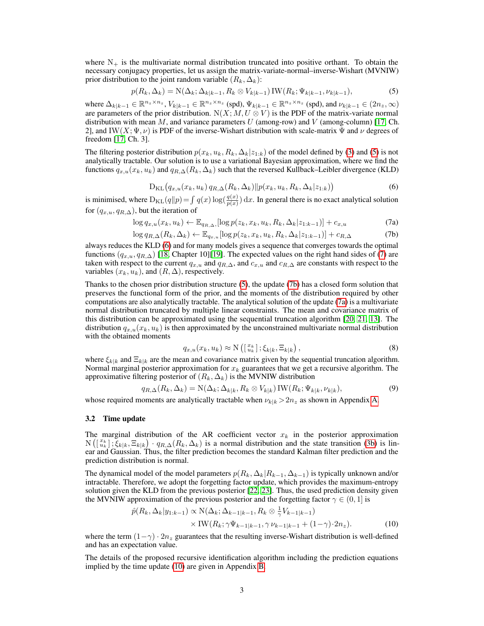where  $N_{+}$  is the multivariate normal distribution truncated into positive orthant. To obtain the necessary conjugacy properties, let us assign the matrix-variate-normal–inverse-Wishart (MVNIW) prior distribution to the joint random variable  $(R_k, \Delta_k)$ :

<span id="page-2-0"></span>
$$
p(R_k, \Delta_k) = \mathcal{N}(\Delta_k; \Delta_{k|k-1}, R_k \otimes V_{k|k-1}) \mathcal{IW}(R_k; \Psi_{k|k-1}, \nu_{k|k-1}),
$$
\n(5)

where  $\Delta_{k|k-1} \in \mathbb{R}^{n_z \times n_z}$ ,  $V_{k|k-1} \in \mathbb{R}^{n_z \times n_z}$  (spd),  $\Psi_{k|k-1} \in \mathbb{R}^{n_z \times n_z}$  (spd), and  $\nu_{k|k-1} \in (2n_z, \infty)$ are parameters of the prior distribution.  $N(X; M, U \otimes V)$  is the PDF of the matrix-variate normal distribution with mean M, and variance parameters U (among-row) and V (among-column) [\[17,](#page-4-16) Ch. 2], and IW(X;  $\Psi$ ,  $\nu$ ) is PDF of the inverse-Wishart distribution with scale-matrix  $\Psi$  and  $\nu$  degrees of freedom [\[17,](#page-4-16) Ch. 3].

The filtering posterior distribution  $p(x_k, u_k, R_k, \Delta_k | z_{1:k})$  of the model defined by [\(3\)](#page-1-1) and [\(5\)](#page-2-0) is not analytically tractable. Our solution is to use a variational Bayesian approximation, where we find the functions  $q_{x,u}(x_k, u_k)$  and  $q_{R,\Delta}(R_k, \Delta_k)$  such that the reversed Kullback–Leibler divergence (KLD)

<span id="page-2-2"></span>
$$
D_{KL}(q_{x,u}(x_k, u_k) q_{R,\Delta}(R_k, \Delta_k) \| p(x_k, u_k, R_k, \Delta_k | z_{1:k}) \tag{6}
$$

<span id="page-2-1"></span>is minimised, where  $D_{KL}(q||p) = \int q(x) \log(\frac{q(x)}{p(x)}) dx$ . In general there is no exact analytical solution for  $(q_{x,u}, q_{R,\Delta})$ , but the iteration of

$$
\log q_{x,u}(x_k, u_k) \leftarrow \mathbb{E}_{q_{R,\Delta}}, [\log p(z_k, x_k, u_k, R_k, \Delta_k | z_{1:k-1})] + c_{x,u} \tag{7a}
$$

$$
\log q_{R,\Delta}(R_k,\Delta_k) \leftarrow \mathbb{E}_{q_{x,u}}[\log p(z_k,x_k,u_k,R_k,\Delta_k|z_{1:k-1})] + c_{R,\Delta} \tag{7b}
$$

always reduces the KLD [\(6\)](#page-2-1) and for many models gives a sequence that converges towards the optimal functions  $(q_{x,u}, q_{R,\Delta})$  [\[18,](#page-4-17) Chapter 10][\[19\]](#page-4-18). The expected values on the right hand sides of [\(7\)](#page-2-2) are taken with respect to the current  $q_{x,u}$  and  $q_{R,\Delta}$ , and  $c_{x,u}$  and  $c_{R,\Delta}$  are constants with respect to the variables  $(x_k, u_k)$ , and  $(R, \Delta)$ , respectively.

Thanks to the chosen prior distribution structure [\(5\)](#page-2-0), the update [\(7b\)](#page-1-2) has a closed form solution that preserves the functional form of the prior, and the moments of the distribution required by other computations are also analytically tractable. The analytical solution of the update [\(7a\)](#page-1-3) is a multivariate normal distribution truncated by multiple linear constraints. The mean and covariance matrix of this distribution can be approximated using the sequential truncation algorithm [\[20,](#page-5-0) [21,](#page-5-1) [13\]](#page-4-12). The distribution  $q_{x,u}(x_k, u_k)$  is then approximated by the unconstrained multivariate normal distribution with the obtained moments

$$
q_{x,u}(x_k, u_k) \approx \mathcal{N}\left(\left[\begin{smallmatrix} x_k \\ u_k \end{smallmatrix}\right]; \xi_{k|k}, \Xi_{k|k}\right),\tag{8}
$$

where  $\xi_{k|k}$  and  $\Xi_{k|k}$  are the mean and covariance matrix given by the sequential truncation algorithm. Normal marginal posterior approximation for  $x_k$  guarantees that we get a recursive algorithm. The approximative filtering posterior of  $(R_k, \Delta_k)$  is the MVNIW distribution

$$
q_{R,\Delta}(R_k,\Delta_k) = \mathcal{N}(\Delta_k;\Delta_{k|k},R_k \otimes V_{k|k}) \mathcal{IW}(R_k;\Psi_{k|k},\nu_{k|k}),
$$
\n(9)

whose required moments are analytically tractable when  $\nu_{k|k} > 2n_z$  as shown in Appendix [A.](#page-6-0)

#### <span id="page-2-4"></span>3.2 Time update

The marginal distribution of the AR coefficient vector  $x_k$  in the posterior approximation  $N\left(\begin{bmatrix} x_k \\ u_k \end{bmatrix}; \xi_{k|k}, \Xi_{k|k}\right) \cdot q_{R,\Delta}(R_k, \Delta_k)$  is a normal distribution and the state transition [\(3b\)](#page-1-4) is linear and Gaussian. Thus, the filter prediction becomes the standard Kalman filter prediction and the prediction distribution is normal.

The dynamical model of the model parameters  $p(R_k, \Delta_k|R_{k-1}, \Delta_{k-1})$  is typically unknown and/or intractable. Therefore, we adopt the forgetting factor update, which provides the maximum-entropy solution given the KLD from the previous posterior [\[22,](#page-5-2) [23\]](#page-5-3). Thus, the used prediction density given the MVNIW approximation of the previous posterior and the forgetting factor  $\gamma \in (0,1]$  is

<span id="page-2-3"></span>
$$
\hat{p}(R_k, \Delta_k | y_{1:k-1}) \propto \mathcal{N}(\Delta_k; \Delta_{k-1|k-1}, R_k \otimes \frac{1}{\gamma} V_{k-1|k-1}) \times \mathcal{IW}(R_k; \gamma \Psi_{k-1|k-1}, \gamma \nu_{k-1|k-1} + (1-\gamma) \cdot 2n_z).
$$
\n(10)

where the term  $(1-\gamma) \cdot 2n_z$  guarantees that the resulting inverse-Wishart distribution is well-defined and has an expectation value.

The details of the proposed recursive identification algorithm including the prediction equations implied by the time update [\(10\)](#page-2-3) are given in Appendix [B.](#page-10-0)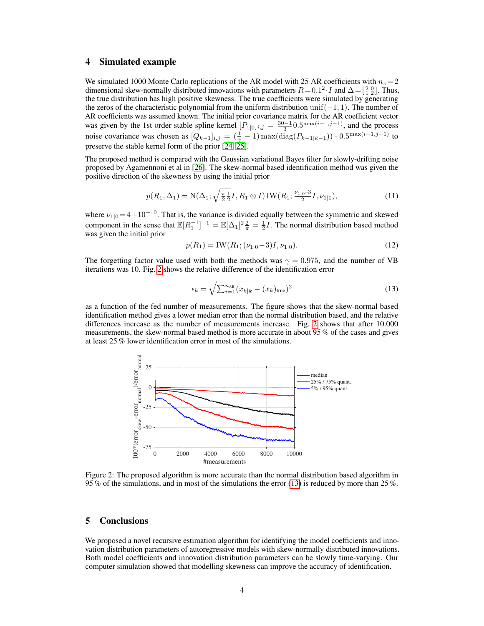#### 4 Simulated example

We simulated 1000 Monte Carlo replications of the AR model with 25 AR coefficients with  $n_z = 2$ dimensional skew-normally distributed innovations with parameters  $R = 0.1^2 \cdot I$  and  $\Delta = \begin{bmatrix} 2 & 0 \\ 1 & 2 \end{bmatrix}$ . Thus, the true distribution has high positive skewness. The true coefficients were simulated by generating the zeros of the characteristic polynomial from the uniform distribution unif( $-1, 1$ ). The number of AR coefficients was assumed known. The initial prior covariance matrix for the AR coefficient vector was given by the 1st order stable spline kernel  $[P_{1|0}]_{i,j} = \frac{30-1}{3} 0.5^{\max(i-1,j-1)}$ , and the process noise covariance was chosen as  $[Q_{k-1}]_{i,j} = (\frac{1}{\gamma} - 1) \max(\text{diag}(P_{k-1|k-1})) \cdot 0.5^{\max(i-1,j-1)}$  to preserve the stable kernel form of the prior [\[24,](#page-5-4) [25\]](#page-5-5).

The proposed method is compared with the Gaussian variational Bayes filter for slowly-drifting noise proposed by Agamennoni et al in [\[26\]](#page-5-6). The skew-normal based identification method was given the positive direction of the skewness by using the initial prior

$$
p(R_1, \Delta_1) = \mathcal{N}(\Delta_1; \sqrt{\frac{\pi}{2}} \frac{1}{2} I, R_1 \otimes I) \mathcal{IW}(R_1; \frac{\nu_{1|0} - 3}{2} I, \nu_{1|0}), \tag{11}
$$

where  $\nu_{1|0} = 4+10^{-10}$ . That is, the variance is divided equally between the symmetric and skewed component in the sense that  $\mathbb{E}[R_1^{-1}]^{-1} = \mathbb{E}[\Delta_1]^2 \frac{2}{\pi} = \frac{1}{2}I$ . The normal distribution based method was given the initial prior

$$
p(R_1) = \text{IW}(R_1; (\nu_{1|0} - 3)I, \nu_{1|0}).\tag{12}
$$

The forgetting factor value used with both the methods was  $\gamma = 0.975$ , and the number of VB iterations was 10. Fig. [2](#page-3-0) shows the relative difference of the identification error

<span id="page-3-1"></span>
$$
\epsilon_k = \sqrt{\sum_{i=1}^{n_{\text{AR}}} (x_{k|k} - (x_k)_{\text{true}})^2}
$$
 (13)

as a function of the fed number of measurements. The figure shows that the skew-normal based identification method gives a lower median error than the normal distribution based, and the relative differences increase as the number of measurements increase. Fig. [2](#page-3-0) shows that after 10.000 measurements, the skew-normal based method is more accurate in about 95 % of the cases and gives at least 25 % lower identification error in most of the simulations.

<span id="page-3-0"></span>

Figure 2: The proposed algorithm is more accurate than the normal distribution based algorithm in 95 % of the simulations, and in most of the simulations the error [\(13\)](#page-3-1) is reduced by more than 25 %.

### 5 Conclusions

We proposed a novel recursive estimation algorithm for identifying the model coefficients and innovation distribution parameters of autoregressive models with skew-normally distributed innovations. Both model coefficients and innovation distribution parameters can be slowly time-varying. Our computer simulation showed that modelling skewness can improve the accuracy of identification.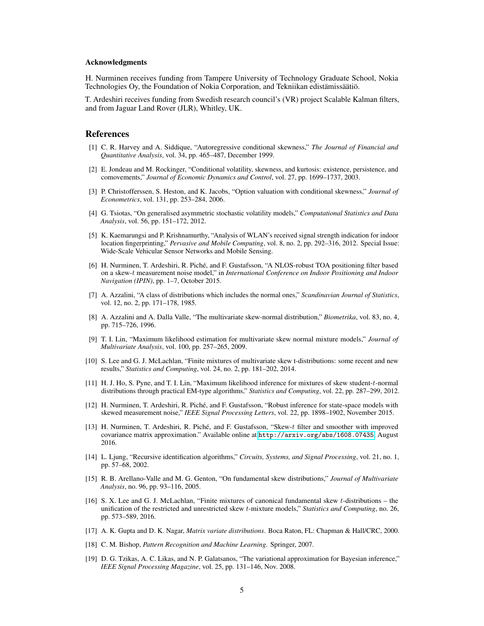#### Acknowledgments

H. Nurminen receives funding from Tampere University of Technology Graduate School, Nokia Technologies Oy, the Foundation of Nokia Corporation, and Tekniikan edistämissäätiö.

T. Ardeshiri receives funding from Swedish research council's (VR) project Scalable Kalman filters, and from Jaguar Land Rover (JLR), Whitley, UK.

#### References

- <span id="page-4-0"></span>[1] C. R. Harvey and A. Siddique, "Autoregressive conditional skewness," *The Journal of Financial and Quantitative Analysis*, vol. 34, pp. 465–487, December 1999.
- <span id="page-4-1"></span>[2] E. Jondeau and M. Rockinger, "Conditional volatility, skewness, and kurtosis: existence, persistence, and comovements," *Journal of Economic Dynamics and Control*, vol. 27, pp. 1699–1737, 2003.
- <span id="page-4-2"></span>[3] P. Christofferssen, S. Heston, and K. Jacobs, "Option valuation with conditional skewness," *Journal of Econometrics*, vol. 131, pp. 253–284, 2006.
- <span id="page-4-3"></span>[4] G. Tsiotas, "On generalised asymmetric stochastic volatility models," *Computational Statistics and Data Analysis*, vol. 56, pp. 151–172, 2012.
- <span id="page-4-4"></span>[5] K. Kaemarungsi and P. Krishnamurthy, "Analysis of WLAN's received signal strength indication for indoor location fingerprinting," *Pervasive and Mobile Computing*, vol. 8, no. 2, pp. 292–316, 2012. Special Issue: Wide-Scale Vehicular Sensor Networks and Mobile Sensing.
- <span id="page-4-5"></span>[6] H. Nurminen, T. Ardeshiri, R. Piché, and F. Gustafsson, "A NLOS-robust TOA positioning filter based on a skew-t measurement noise model," in *International Conference on Indoor Positioning and Indoor Navigation (IPIN)*, pp. 1–7, October 2015.
- <span id="page-4-6"></span>[7] A. Azzalini, "A class of distributions which includes the normal ones," *Scandinavian Journal of Statistics*, vol. 12, no. 2, pp. 171–178, 1985.
- <span id="page-4-7"></span>[8] A. Azzalini and A. Dalla Valle, "The multivariate skew-normal distribution," *Biometrika*, vol. 83, no. 4, pp. 715–726, 1996.
- <span id="page-4-8"></span>[9] T. I. Lin, "Maximum likelihood estimation for multivariate skew normal mixture models," *Journal of Multivariate Analysis*, vol. 100, pp. 257–265, 2009.
- <span id="page-4-9"></span>[10] S. Lee and G. J. McLachlan, "Finite mixtures of multivariate skew t-distributions: some recent and new results," *Statistics and Computing*, vol. 24, no. 2, pp. 181–202, 2014.
- <span id="page-4-10"></span>[11] H. J. Ho, S. Pyne, and T. I. Lin, "Maximum likelihood inference for mixtures of skew student-t-normal distributions through practical EM-type algorithms," *Statistics and Computing*, vol. 22, pp. 287–299, 2012.
- <span id="page-4-11"></span>[12] H. Nurminen, T. Ardeshiri, R. Piché, and F. Gustafsson, "Robust inference for state-space models with skewed measurement noise," *IEEE Signal Processing Letters*, vol. 22, pp. 1898–1902, November 2015.
- <span id="page-4-12"></span>[13] H. Nurminen, T. Ardeshiri, R. Piché, and F. Gustafsson, "Skew-t filter and smoother with improved covariance matrix approximation." Available online at <http://arxiv.org/abs/1608.07435>, August 2016.
- <span id="page-4-13"></span>[14] L. Ljung, "Recursive identification algorithms," *Circuits, Systems, and Signal Processing*, vol. 21, no. 1, pp. 57–68, 2002.
- <span id="page-4-14"></span>[15] R. B. Arellano-Valle and M. G. Genton, "On fundamental skew distributions," *Journal of Multivariate Analysis*, no. 96, pp. 93–116, 2005.
- <span id="page-4-15"></span>[16] S. X. Lee and G. J. McLachlan, "Finite mixtures of canonical fundamental skew t-distributions – the unification of the restricted and unrestricted skew t-mixture models," *Statistics and Computing*, no. 26, pp. 573–589, 2016.
- <span id="page-4-16"></span>[17] A. K. Gupta and D. K. Nagar, *Matrix variate distributions*. Boca Raton, FL: Chapman & Hall/CRC, 2000.
- <span id="page-4-17"></span>[18] C. M. Bishop, *Pattern Recognition and Machine Learning*. Springer, 2007.
- <span id="page-4-18"></span>[19] D. G. Tzikas, A. C. Likas, and N. P. Galatsanos, "The variational approximation for Bayesian inference," *IEEE Signal Processing Magazine*, vol. 25, pp. 131–146, Nov. 2008.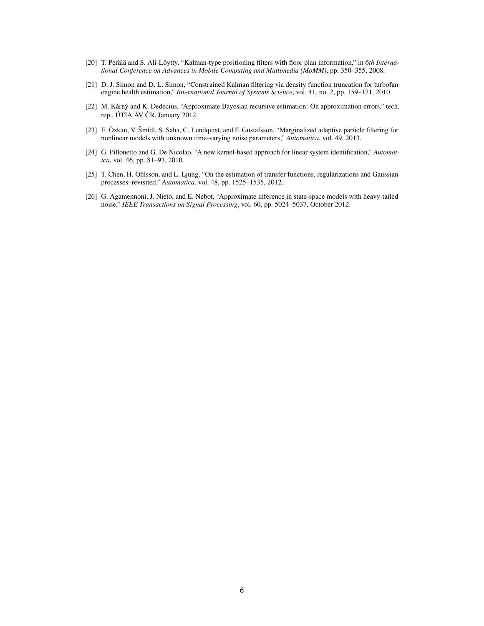- <span id="page-5-0"></span>[20] T. Perälä and S. Ali-Löytty, "Kalman-type positioning filters with floor plan information," in *6th International Conference on Advances in Mobile Computing and Multimedia (MoMM)*, pp. 350–355, 2008.
- <span id="page-5-1"></span>[21] D. J. Simon and D. L. Simon, "Constrained Kalman filtering via density function truncation for turbofan engine health estimation," *International Journal of Systems Science*, vol. 41, no. 2, pp. 159–171, 2010.
- <span id="page-5-2"></span>[22] M. Kárný and K. Dedecius, "Approximate Bayesian recursive estimation: On approximation errors," tech. rep., ÚTIA AV ČR, January 2012.
- <span id="page-5-3"></span>[23] E. Özkan, V. Šmídl, S. Saha, C. Lundquist, and F. Gustafsson, "Marginalized adaptive particle filtering for nonlinear models with unknown time-varying noise parameters," *Automatica*, vol. 49, 2013.
- <span id="page-5-4"></span>[24] G. Pillonetto and G. De Nicolao, "A new kernel-based approach for linear system identification," *Automatica*, vol. 46, pp. 81–93, 2010.
- <span id="page-5-5"></span>[25] T. Chen, H. Ohlsson, and L. Ljung, "On the estimation of transfer functions, regularizations and Gaussian processes–revisited," *Automatica*, vol. 48, pp. 1525–1535, 2012.
- <span id="page-5-6"></span>[26] G. Agamennoni, J. Nieto, and E. Nebot, "Approximate inference in state-space models with heavy-tailed noise," *IEEE Transactions on Signal Processing*, vol. 60, pp. 5024–5037, October 2012.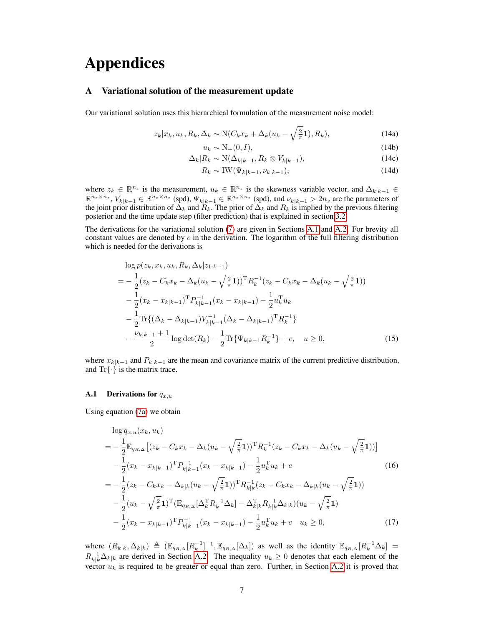# Appendices

#### <span id="page-6-0"></span>A Variational solution of the measurement update

Our variational solution uses this hierarchical formulation of the measurement noise model:

$$
z_k | x_k, u_k, R_k, \Delta_k \sim \mathcal{N}(C_k x_k + \Delta_k (u_k - \sqrt{\frac{2}{\pi}} \mathbf{1}), R_k), \tag{14a}
$$

$$
u_k \sim \mathcal{N}_+(0, I),\tag{14b}
$$

$$
\Delta_k | R_k \sim \mathcal{N}(\Delta_{k|k-1}, R_k \otimes V_{k|k-1}), \tag{14c}
$$

$$
R_k \sim \text{IW}(\Psi_{k|k-1}, \nu_{k|k-1}),\tag{14d}
$$

where  $z_k \in \mathbb{R}^{n_z}$  is the measurement,  $u_k \in \mathbb{R}^{n_z}$  is the skewness variable vector, and  $\Delta_{k|k-1} \in$  $\mathbb{R}^{n_z \times n_z}$ ,  $V_{k|k-1} \in \mathbb{R}^{n_z \times n_z}$  (spd),  $\Psi_{k|k-1} \in \mathbb{R}^{n_z \times n_z}$  (spd), and  $\nu_{k|k-1} > 2n_z$  are the parameters of the joint prior distribution of  $\Delta_k$  and  $R_k$ . The prior of  $\Delta_k$  and  $R_k$  is implied by the previous filtering posterior and the time update step (filter prediction) that is explained in section [3.2.](#page-2-4)

The derivations for the variational solution [\(7\)](#page-2-2) are given in Sections [A.1](#page-6-1) and [A.2.](#page-8-0) For brevity all constant values are denoted by  $c$  in the derivation. The logarithm of the full filtering distribution which is needed for the derivations is

$$
\log p(z_k, x_k, u_k, R_k, \Delta_k | z_{1:k-1})
$$
  
=  $-\frac{1}{2} (z_k - C_k x_k - \Delta_k (u_k - \sqrt{\frac{2}{\pi}} \mathbf{1}))^{\mathrm{T}} R_k^{-1} (z_k - C_k x_k - \Delta_k (u_k - \sqrt{\frac{2}{\pi}} \mathbf{1}))$   
 $-\frac{1}{2} (x_k - x_{k|k-1})^{\mathrm{T}} P_{k|k-1}^{-1} (x_k - x_{k|k-1}) - \frac{1}{2} u_k^{\mathrm{T}} u_k$   
 $-\frac{1}{2} \mathrm{Tr} \{ (\Delta_k - \Delta_{k|k-1}) V_{k|k-1}^{-1} (\Delta_k - \Delta_{k|k-1})^{\mathrm{T}} R_k^{-1} \}$   
 $-\frac{\nu_{k|k-1} + 1}{2} \log \det(R_k) - \frac{1}{2} \mathrm{Tr} \{ \Psi_{k|k-1} R_k^{-1} \} + c, \quad u \ge 0,$  (15)

where  $x_{k|k-1}$  and  $P_{k|k-1}$  are the mean and covariance matrix of the current predictive distribution, and  $\text{Tr}\{\cdot\}$  is the matrix trace.

#### <span id="page-6-1"></span>**A.1** Derivations for  $q_{x,u}$

Using equation [\(7a\)](#page-1-3) we obtain

<span id="page-6-2"></span>
$$
\log q_{x,u}(x_k, u_k)
$$
\n
$$
= -\frac{1}{2} \mathbb{E}_{q_{R,\Delta}} \left[ (z_k - C_k x_k - \Delta_k (u_k - \sqrt{\frac{2}{\pi}} \mathbf{1}))^{\mathrm{T}} R_k^{-1} (z_k - C_k x_k - \Delta_k (u_k - \sqrt{\frac{2}{\pi}} \mathbf{1})) \right]
$$
\n
$$
- \frac{1}{2} (x_k - x_{k|k-1})^{\mathrm{T}} P_{k|k-1}^{-1} (x_k - x_{k|k-1}) - \frac{1}{2} u_k^{\mathrm{T}} u_k + c \qquad (16)
$$
\n
$$
= -\frac{1}{2} (z_k - C_k x_k - \Delta_{k|k} (u_k - \sqrt{\frac{2}{\pi}} \mathbf{1}))^{\mathrm{T}} R_{k|k}^{-1} (z_k - C_k x_k - \Delta_{k|k} (u_k - \sqrt{\frac{2}{\pi}} \mathbf{1}))
$$
\n
$$
- \frac{1}{2} (u_k - \sqrt{\frac{2}{\pi}} \mathbf{1})^{\mathrm{T}} (\mathbb{E}_{q_{R,\Delta}} [\Delta_k^{\mathrm{T}} R_k^{-1} \Delta_k] - \Delta_{k|k}^{\mathrm{T}} R_{k|k}^{-1} \Delta_{k|k}) (u_k - \sqrt{\frac{2}{\pi}} \mathbf{1})
$$
\n
$$
- \frac{1}{2} (x_k - x_{k|k-1})^{\mathrm{T}} P_{k|k-1}^{-1} (x_k - x_{k|k-1}) - \frac{1}{2} u_k^{\mathrm{T}} u_k + c \quad u_k \ge 0,
$$
\n(17)

where  $(R_{k|k}, \Delta_{k|k}) \triangleq (\mathbb{E}_{q_{R,\Delta}}[R_k^{-1}]^{-1}, \mathbb{E}_{q_{R,\Delta}}[\Delta_k])$  as well as the identity  $\mathbb{E}_{q_{R,\Delta}}[R_k^{-1}\Delta_k] =$  $R_{k|k}^{-1}\Delta_{k|k}$  are derived in Section [A.2.](#page-8-0) The inequality  $u_k \geq 0$  denotes that each element of the vector  $u_k$  is required to be greater or equal than zero. Further, in Section [A.2](#page-8-0) it is proved that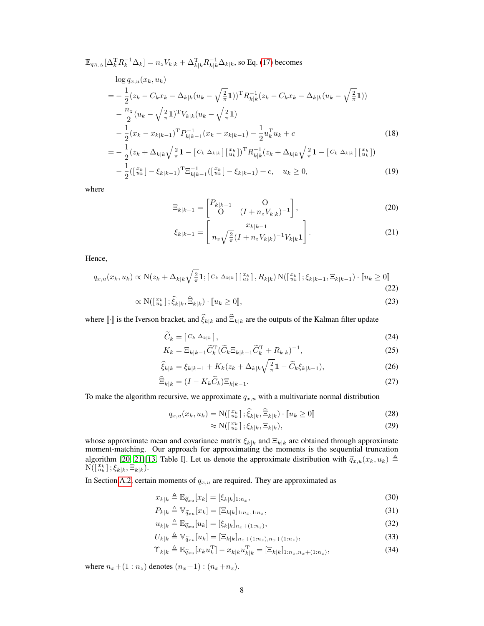$$
\mathbb{E}_{q_{R,\Delta}}[\Delta_k^{\mathrm{T}} R_k^{-1} \Delta_k] = n_z V_{k|k} + \Delta_{k|k}^{\mathrm{T}} R_{k|k}^{-1} \Delta_{k|k}
$$
, so Eq. (17) becomes

$$
\log q_{x,u}(x_k, u_k)
$$
\n
$$
= -\frac{1}{2}(z_k - C_k x_k - \Delta_{k|k}(u_k - \sqrt{\frac{2}{\pi}} \mathbf{1}))^{\mathrm{T}} R_{k|k}^{-1}(z_k - C_k x_k - \Delta_{k|k}(u_k - \sqrt{\frac{2}{\pi}} \mathbf{1}))
$$
\n
$$
- \frac{n_z}{2}(u_k - \sqrt{\frac{2}{\pi}} \mathbf{1})^{\mathrm{T}} V_{k|k}(u_k - \sqrt{\frac{2}{\pi}} \mathbf{1})
$$
\n
$$
- \frac{1}{2}(x_k - x_{k|k-1})^{\mathrm{T}} P_{k|k-1}^{-1}(x_k - x_{k|k-1}) - \frac{1}{2} u_k^{\mathrm{T}} u_k + c
$$
\n
$$
= -\frac{1}{2}(z_k + \Delta_{k|k} \sqrt{\frac{2}{\pi}} \mathbf{1} - [C_k \Delta_{k|k}] [\frac{x_k}{u_k}])^{\mathrm{T}} R_{k|k}^{-1}(z_k + \Delta_{k|k} \sqrt{\frac{2}{\pi}} \mathbf{1} - [C_k \Delta_{k|k}] [\frac{x_k}{u_k}])
$$
\n
$$
- \frac{1}{2}([\frac{x_k}{u_k}] - \xi_{k|k-1})^{\mathrm{T}} \Xi_{k|k-1}^{-1}([\frac{x_k}{u_k}] - \xi_{k|k-1}) + c, \quad u_k \ge 0,
$$
\n(19)

where

$$
\Xi_{k|k-1} = \begin{bmatrix} P_{k|k-1} & 0 \\ 0 & (I + n_z V_{k|k})^{-1} \end{bmatrix},
$$
\n(20)

$$
\xi_{k|k-1} = \left[ \frac{x_{k|k-1}}{n_z \sqrt{\frac{2}{\pi}} (I + n_z V_{k|k})^{-1} V_{k|k} \mathbf{1}} \right]. \tag{21}
$$

Hence,

$$
q_{x,u}(x_k, u_k) \propto \mathcal{N}(z_k + \Delta_{k|k}\sqrt{\frac{2}{\pi}}\mathbf{1}; [C_k \Delta_{k|k}] [\begin{matrix} x_k \\ u_k \end{matrix}], R_{k|k}) \mathcal{N}([\begin{matrix} x_k \\ u_k \end{matrix}]; \xi_{k|k-1}, \Xi_{k|k-1}) \cdot [u_k \ge 0] \tag{22}
$$

$$
\propto \mathcal{N}(\left[\begin{array}{c} x_k \\ u_k \end{array}\right]; \hat{\xi}_{k|k}, \hat{\Xi}_{k|k}) \cdot [u_k \ge 0],\tag{23}
$$

where [ $\cdot$ ] is the Iverson bracket, and  $\xi_{k|k}$  and  $\Xi_{k|k}$  are the outputs of the Kalman filter update

$$
\widetilde{C}_k = [C_k \Delta_{k|k}], \tag{24}
$$
\n
$$
K = \overline{C} \widetilde{C} \widetilde{C} \widetilde{C} = \widetilde{C} \widetilde{C} \widetilde{C} \widetilde{C} \widetilde{C}
$$

$$
K_k = \Xi_{k|k-1} \widetilde{C}_k^{\mathrm{T}} (\widetilde{C}_k \Xi_{k|k-1} \widetilde{C}_k^{\mathrm{T}} + R_{k|k})^{-1},\tag{25}
$$

$$
\hat{\xi}_{k|k} = \xi_{k|k-1} + K_k(z_k + \Delta_{k|k}\sqrt{\frac{2}{\pi}}\mathbf{1} - \widetilde{C}_k\xi_{k|k-1}),
$$
\n(26)

$$
\widehat{\Xi}_{k|k} = (I - K_k \widetilde{C}_k) \Xi_{k|k-1}.
$$
\n(27)

To make the algorithm recursive, we approximate  $q_{x,u}$  with a multivariate normal distribution

$$
q_{x,u}(x_k, u_k) = \mathcal{N}(\begin{bmatrix} x_k \\ u_k \end{bmatrix}; \hat{\xi}_{k|k}, \hat{\Xi}_{k|k}) \cdot [ \! [ u_k \ge 0 ] \! ] \tag{28}
$$

<span id="page-7-0"></span>
$$
\approx \mathcal{N}\left(\left[\begin{smallmatrix} x_k \\ u_k \end{smallmatrix}\right]; \xi_{k|k}, \Xi_{k|k}\right),\tag{29}
$$

whose approximate mean and covariance matrix  $\xi_{k|k}$  and  $\Xi_{k|k}$  are obtained through approximate moment-matching. Our approach for approximating the moments is the sequential truncation algorithm [\[20,](#page-5-0) [21\]](#page-5-1)[\[13,](#page-4-12) Table I]. Let us denote the approximate distribution with  $\tilde{q}_{x,u}(x_k, u_k) \triangleq$  $N(\begin{bmatrix} x_k \\ u_k \end{bmatrix}; \xi_k, \Xi_{k|k}).$ 

In Section [A.2,](#page-8-0) certain moments of  $q_{x,u}$  are required. They are approximated as

$$
x_{k|k} \triangleq \mathbb{E}_{\widetilde{q}_{xu}}[x_k] = [\xi_{k|k}]_{1:n_x},\tag{30}
$$

$$
P_{k|k} \triangleq \mathbb{V}_{\widetilde{q}_{xu}}[x_k] = [\Xi_{k|k}]_{1:n_x,1:n_x},\tag{31}
$$

$$
u_{k|k} \triangleq \mathbb{E}_{\widetilde{q}_{xu}}[u_k] = [\xi_{k|k}]_{n_x + (1:n_z)},
$$
\n(32)

$$
U_{k|k} \triangleq \mathbb{V}_{\widetilde{q}_{xu}}[u_k] = [\Xi_{k|k}]_{n_x + (1:n_z), n_x + (1:n_z)},
$$
\n(33)

$$
\Upsilon_{k|k} \triangleq \mathbb{E}_{\widetilde{q}_{xu}}[x_k u_k^{\mathrm{T}}] - x_{k|k} u_{k|k}^{\mathrm{T}} = [\Xi_{k|k}]_{1:n_x, n_x + (1:n_z)},\tag{34}
$$

where  $n_x+(1:n_z)$  denotes  $(n_x+1):(n_x+n_z)$ .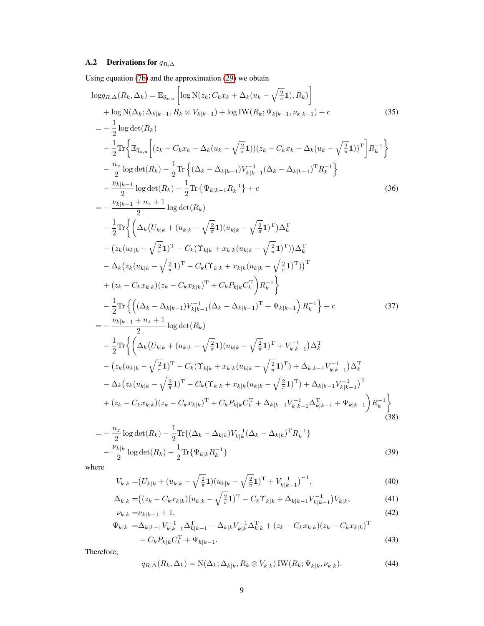## <span id="page-8-0"></span>A.2 Derivations for  $q_{R,\Delta}$

Using equation [\(7b\)](#page-1-2) and the approximation [\(29\)](#page-7-0) we obtain

$$
\log q_{R,\Delta}(R_{k},\Delta_{k}) = \mathbb{E}_{\tilde{q}_{x,u}} \left[ \log N(z_{k};C_{k}x_{k} + \Delta_{k}(u_{k} - \sqrt{\frac{2}{\pi}}1), R_{k}) \right]
$$
  
+ log N( $\Delta_{k};\Delta_{k|k-1},R_{k} \otimes V_{k|k-1}) + logIW(R_{k};\Psi_{k|k-1},\nu_{k|k-1}) + c \right]$ (35)  
=  $-\frac{1}{2} \log \det(R_{k})$   
 $-\frac{1}{2} \text{Tr} \left\{ \mathbb{E}_{\tilde{q}_{x,u}} \left[ (z_{k} - C_{k}x_{k} - \Delta_{k}(u_{k} - \sqrt{\frac{2}{\pi}}1))(z_{k} - C_{k}x_{k} - \Delta_{k}(u_{k} - \sqrt{\frac{2}{\pi}}1))^{T} \right] R_{k}^{-1} \right\}$   
 $-\frac{n_{z}}{2} \log \det(R_{k}) - \frac{1}{2} \text{Tr} \left\{ (\Delta_{k} - \Delta_{k|k-1})V_{k|k-1}^{-1} (\Delta_{k} - \Delta_{k|k-1})^{T} R_{k}^{-1} \right\}$   
 $-\frac{\nu_{k|k-1}}{2} \log \det(R_{k}) - \frac{1}{2} \text{Tr} \left\{ \Psi_{k|k-1}R_{k}^{-1} \right\} + c \right\}$   
=  $-\frac{\nu_{k|k-1}}{2} \log \det(R_{k})$   
 $-\frac{1}{2} \text{Tr} \left\{ (\Delta_{k}(U_{k|k} + (u_{k|k} - \sqrt{\frac{2}{\pi}}1)(u_{k|k} - \sqrt{\frac{2}{\pi}}1)^{T}) \Delta_{k}^{T} - (z_{k}(u_{k|k} - \sqrt{\frac{2}{\pi}}1)^{T} - C_{k}(\Upsilon_{k|k} + x_{k|k}(u_{k|k} - \sqrt{\frac{2}{\pi}}1)^{T}) ) \Delta_{k}^{T} - \Delta_{k}(z_{k}(u_{k|k} - \sqrt{\frac{2}{\pi}}1)^{T} - C_{k}(\Upsilon_{k|k} + x_{k|k}(u_{k|k} - \sqrt{\frac{2}{\pi}}1)^{T}) )^{T}$   
+  $(z_{k} - C_{k}x_{k$ 

$$
= -\frac{n_z}{2} \log \det(R_k) - \frac{1}{2} \text{Tr}\{ (\Delta_k - \Delta_{k|k}) V_{k|k}^{-1} (\Delta_k - \Delta_{k|k})^{\text{T}} R_k^{-1} \} - \frac{\nu_{k|k}}{2} \log \det(R_k) - \frac{1}{2} \text{Tr}\{ \Psi_{k|k} R_k^{-1} \}
$$
\n(39)

where

$$
V_{k|k} = (U_{k|k} + (u_{k|k} - \sqrt{\frac{2}{\pi}} \mathbf{1})(u_{k|k} - \sqrt{\frac{2}{\pi}} \mathbf{1})^{\mathrm{T}} + V_{k|k-1}^{-1})^{-1},\tag{40}
$$

$$
\Delta_{k|k} = ((z_k - C_k x_{k|k})(u_{k|k} - \sqrt{\frac{2}{\pi}} \mathbf{1})^{\mathrm{T}} - C_k \Upsilon_{k|k} + \Delta_{k|k-1} V_{k|k-1}^{-1}) V_{k|k},
$$
\n(41)  
\n
$$
\nu_{k|k} = \nu_{k|k-1} + 1,
$$
\n(42)

$$
\Psi_{k|k} = \Delta_{k|k-1} V_{k|k-1}^{-1} \Delta_{k|k-1}^{\mathrm{T}} - \Delta_{k|k} V_{k|k}^{-1} \Delta_{k|k}^{\mathrm{T}} + (z_k - C_k x_{k|k}) (z_k - C_k x_{k|k})^{\mathrm{T}} + C_k P_{k|k} C_k^{\mathrm{T}} + \Psi_{k|k-1}.
$$
\n(43)

Therefore,

$$
q_{R,\Delta}(R_k,\Delta_k) = \mathcal{N}(\Delta_k;\Delta_{k|k},R_k \otimes V_{k|k}) \mathcal{IW}(R_k;\Psi_{k|k},\nu_{k|k}). \tag{44}
$$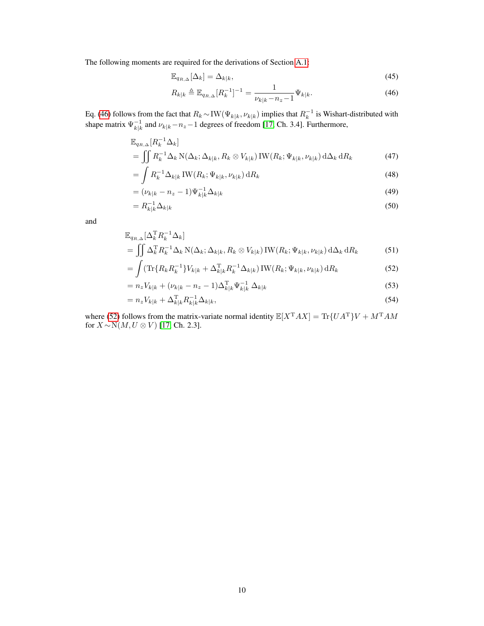The following moments are required for the derivations of Section [A.1:](#page-6-1)

<span id="page-9-0"></span>
$$
\mathbb{E}_{q_{R,\Delta}}[\Delta_k] = \Delta_{k|k},\tag{45}
$$

$$
R_{k|k} \triangleq \mathbb{E}_{q_{R,\Delta}}[R_k^{-1}]^{-1} = \frac{1}{\nu_{k|k} - n_z - 1} \Psi_{k|k}.
$$
 (46)

Eq. [\(46\)](#page-9-0) follows from the fact that  $R_k \sim \text{IW}(\Psi_{k|k}, \nu_{k|k})$  implies that  $R_k^{-1}$  is Wishart-distributed with shape matrix  $\Psi_{k|k}^{-1}$  and  $\nu_{k|k} - n_z - 1$  degrees of freedom [\[17,](#page-4-16) Ch. 3.4]. Furthermore,

$$
\mathbb{E}_{q_{R,\Delta}}[R_k^{-1}\Delta_k]
$$
\n
$$
= \iint R_k^{-1}\Delta_k \, \mathcal{N}(\Delta_k; \Delta_{k|k}, R_k \otimes V_{k|k}) \, \text{IW}(R_k; \Psi_{k|k}, \nu_{k|k}) \, \text{d}\Delta_k \, \text{d}R_k
$$
\n(47)

$$
= \int R_k^{-1} \Delta_{k|k} \operatorname{IW}(R_k; \Psi_{k|k}, \nu_{k|k}) \, \mathrm{d}R_k \tag{48}
$$

$$
= (\nu_{k|k} - n_z - 1)\Psi_{k|k}^{-1} \Delta_{k|k}
$$
\n(49)

$$
=R_{k|k}^{-1}\Delta_{k|k}\tag{50}
$$

and

$$
\mathbb{E}_{q_{R,\Delta}}[\Delta_k^{\mathrm{T}} R_k^{-1} \Delta_k]
$$
\n
$$
= \iint \Delta_k^{\mathrm{T}} R_k^{-1} \Delta_k \, \mathrm{N}(\Delta_k; \Delta_k|_k, R_k \otimes V_{k|k}) \, \mathrm{IW}(R_k; \Psi_{k|k}, \nu_{k|k}) \, \mathrm{d}\Delta_k \, \mathrm{d}R_k
$$
\n(51)

<span id="page-9-1"></span>
$$
= \int (\text{Tr}\{R_k R_k^{-1}\} V_{k|k} + \Delta_{k|k}^{\text{T}} R_k^{-1} \Delta_{k|k}) \text{IW}(R_k; \Psi_{k|k}, \nu_{k|k}) \, \text{d}R_k \tag{52}
$$

$$
= n_z V_{k|k} + (\nu_{k|k} - n_z - 1) \Delta_{k|k}^{\mathrm{T}} \Psi_{k|k}^{-1} \Delta_{k|k}
$$
\n(53)

$$
= n_z V_{k|k} + \Delta_{k|k}^{\mathrm{T}} R_{k|k}^{-1} \Delta_{k|k},\tag{54}
$$

where [\(52\)](#page-9-1) follows from the matrix-variate normal identity  $\mathbb{E}[X^T A X] = \text{Tr}\{UA^T\}V + M^T A M$ for  $X \sim N(M, U \otimes V)$  [\[17,](#page-4-16) Ch. 2.3].